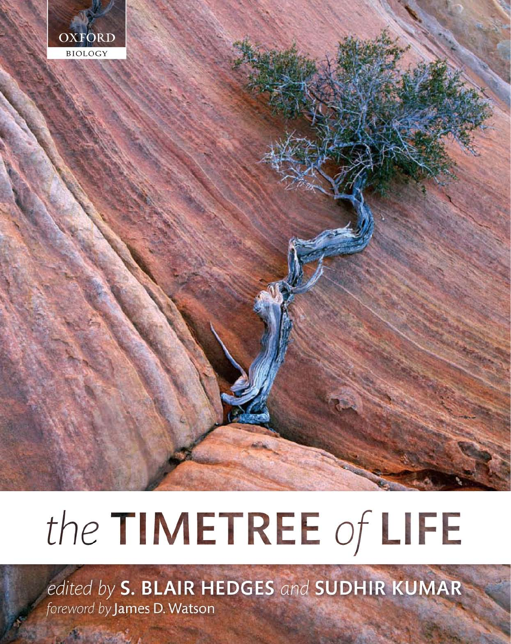

# the TIMETREE of LIFE

edited by S. BLAIR HEDGES and SUDHIR KUMAR foreword by James D. Watson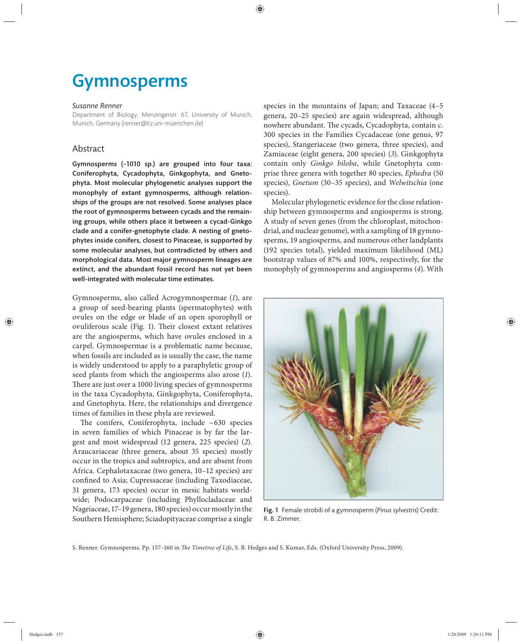## Gymnosperms

#### *Susanne Renner*

Department of Biology, Menzingerstr. 67, University of Munich, Munich, Germany (renner@lrz.uni-muenchen.de)

### Abstract

Gymnosperms (~1010 sp.) are grouped into four taxa: Coniferophyta, Cycadophyta, Ginkgophyta, and Gnetophyta. Most molecular phylogenetic analyses support the monophyly of extant gymnosperms, although relationships of the groups are not resolved. Some analyses place the root of gymnosperms between cycads and the remaining groups, while others place it between a cycad-Ginkgo clade and a conifer-gnetophyte clade. A nesting of gnetophytes inside conifers, closest to Pinaceae, is supported by some molecular analyses, but contradicted by others and morphological data. Most major gymnosperm lineages are extinct, and the abundant fossil record has not yet been well-integrated with molecular time estimates.

Gymnosperms, also called Acrogymnospermae (*1*), are a group of seed-bearing plants (spermatophytes) with ovules on the edge or blade of an open sporophyll or ovuliferous scale (Fig. 1). Their closest extant relatives are the angiosperms, which have ovules enclosed in a carpel. Gymnospermae is a problematic name because, when fossils are included as is usually the case, the name is widely understood to apply to a paraphyletic group of seed plants from which the angiosperms also arose (*1*). There are just over a 1000 living species of gymnosperms in the taxa Cycadophyta, Ginkgophyta, Coniferophyta, and Gnetophyta. Here, the relationships and divergence times of families in these phyla are reviewed.

The conifers, Coniferophyta, include  $~530$  species in seven families of which Pinaceae is by far the largest and most widespread (12 genera, 225 species) (*2*). Araucariaceae (three genera, about 35 species) mostly occur in the tropics and subtropics, and are absent from Africa. Cephalotaxaceae (two genera, 10–12 species) are confined to Asia; Cupressaceae (including Taxodiaceae, 31 genera, 173 species) occur in mesic habitats worldwide; Podocarpaceae (including Phyllocladaceae and Nageiaceae, 17–19 genera, 180 species) occur mostly in the Southern Hemisphere; Sciadopityaceae comprise a single

species in the mountains of Japan; and Taxaceae  $(4-5)$ genera, 20–25 species) are again widespread, although nowhere abundant. The cycads, Cycadophyta, contain c. 300 species in the Families Cycadaceae (one genus, 97 species), Stangeriaceae (two genera, three species), and Zamiaceae (eight genera, 200 species) (*3*). Ginkgophyta contain only *Ginkgo biloba*, while Gnetophyta comprise three genera with together 80 species, *Ephedra* (50 species), *Gnetum* (30–35 species), and *Welwitschia* (one species).

Molecular phylogenetic evidence for the close relationship between gymnosperms and angiosperms is strong. A study of seven genes (from the chloroplast, mitochondrial, and nuclear genome), with a sampling of 18 gymnosperms, 19 angiosperms, and numerous other landplants (192 species total), yielded maximum likelihood (ML) bootstrap values of 87% and 100%, respectively, for the monophyly of gymnosperms and angiosperms (*4*). With



Fig. 1 Female strobili of a gymnosperm (*Pinus sylvestris*) Credit: R. B. Zimmer.

S. Renner. Gymnosperms. Pp. 157-160 in *The Timetree of Life*, S. B. Hedges and S. Kumar, Eds. (Oxford University Press, 2009).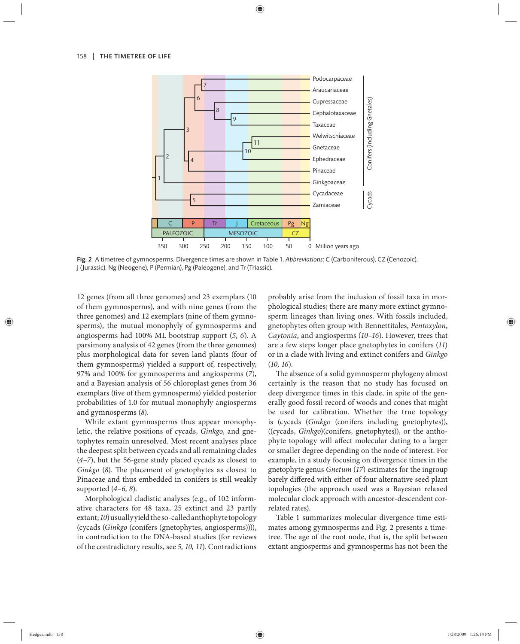

Fig. 2 A timetree of gymnosperms. Divergence times are shown in Table 1. *Abbreviations*: C (Carboniferous), CZ (Cenozoic), J (Jurassic), Ng (Neogene), P (Permian), Pg (Paleogene), and Tr (Triassic).

12 genes (from all three genomes) and 23 exemplars (10 of them gymnosperms), and with nine genes (from the three genomes) and 12 exemplars (nine of them gymnosperms), the mutual monophyly of gymnosperms and angiosperms had 100% ML bootstrap support (*5*, *6*). A parsimony analysis of 42 genes (from the three genomes) plus morphological data for seven land plants (four of them gymnosperms) yielded a support of, respectively, 97% and 100% for gymnosperms and angiosperms (*7*), and a Bayesian analysis of 56 chloroplast genes from 36 exemplars (five of them gymnosperms) yielded posterior probabilities of 1.0 for mutual monophyly angiosperms and gymnosperms (*8*).

While extant gymnosperms thus appear monophyletic, the relative positions of cycads, *Ginkgo*, and gnetophytes remain unresolved. Most recent analyses place the deepest split between cycads and all remaining clades (*4–7*), but the 56-gene study placed cycads as closest to *Ginkgo* (8). The placement of gnetophytes as closest to Pinaceae and thus embedded in conifers is still weakly supported (*4–6, 8*).

Morphological cladistic analyses (e.g., of 102 informative characters for 48 taxa, 25 extinct and 23 partly extant; *10*) usually yield the so-called anthophyte topology (cycads (*Ginkgo* (conifers (gnetophytes, angiosperms)))), in contradiction to the DNA-based studies (for reviews of the contradictory results, see *5, 10, 11*). Contradictions probably arise from the inclusion of fossil taxa in morphological studies; there are many more extinct gymnosperm lineages than living ones. With fossils included, gnetophytes often group with Bennettitales, *Pentoxylon*, *Caytonia*, and angiosperms (*10–16*). However, trees that are a few steps longer place gnetophytes in conifers (*11*) or in a clade with living and extinct conifers and *Ginkgo* (*10, 16*).

The absence of a solid gymnosperm phylogeny almost certainly is the reason that no study has focused on deep divergence times in this clade, in spite of the generally good fossil record of woods and cones that might be used for calibration. Whether the true topology is (cycads (*Ginkgo* (conifers including gnetophytes)), ((cycads, *Ginkgo*)(conifers, gnetophytes)), or the anthophyte topology will affect molecular dating to a larger or smaller degree depending on the node of interest. For example, in a study focusing on divergence times in the gnetophyte genus *Gnetum* (*17*) estimates for the ingroup barely differed with either of four alternative seed plant topologies (the approach used was a Bayesian relaxed molecular clock approach with ancestor-descendent correlated rates).

Table 1 summarizes molecular divergence time estimates among gymnosperms and Fig. 2 presents a timetree. The age of the root node, that is, the split between extant angiosperms and gymnosperms has not been the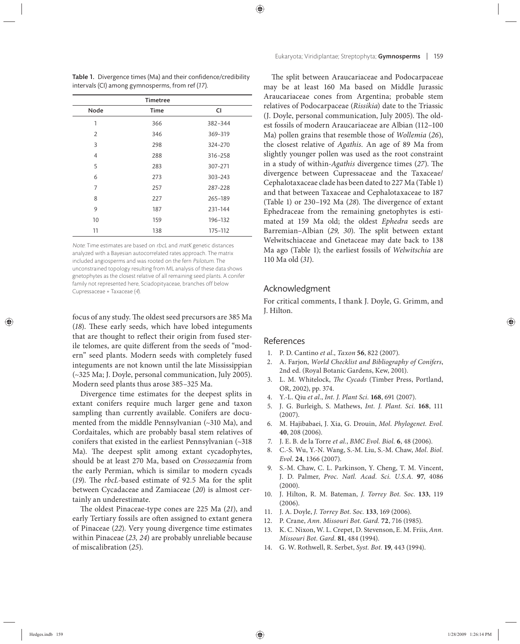| <b>Timetree</b> |             |             |
|-----------------|-------------|-------------|
| Node            | <b>Time</b> | <b>CI</b>   |
| 1               | 366         | 382-344     |
| 2               | 346         | 369-319     |
| 3               | 298         | 324-270     |
| 4               | 288         | 316-258     |
| 5               | 283         | 307-271     |
| 6               | 273         | $303 - 243$ |
| 7               | 257         | 287-228     |
| 8               | 227         | 265-189     |
| 9               | 187         | 231-144     |
| 10              | 159         | 196-132     |
| 11              | 138         | 175-112     |

Table 1. Divergence times (Ma) and their confidence/credibility intervals (CI) among gymnosperms, from ref (*17*).

Note: Time estimates are based on rbcL and matK genetic distances analyzed with a Bayesian autocorrelated rates approach. The matrix included angiosperms and was rooted on the fern Psilotum. The unconstrained topology resulting from ML analysis of these data shows gnetophytes as the closest relative of all remaining seed plants. A conifer family not represented here, Sciadopityaceae, branches off below Cupressaceae + Taxaceae (4).

focus of any study. The oldest seed precursors are 385 Ma (18). These early seeds, which have lobed integuments that are thought to reflect their origin from fused sterile telomes, are quite different from the seeds of "modern" seed plants. Modern seeds with completely fused integuments are not known until the late Mississippian (~325 Ma; J. Doyle, personal communication, July 2005). Modern seed plants thus arose 385–325 Ma.

Divergence time estimates for the deepest splits in extant conifers require much larger gene and taxon sampling than currently available. Conifers are documented from the middle Pennsylvanian (~310 Ma), and Cordaitales, which are probably basal stem relatives of conifers that existed in the earliest Pennsylvanian (~318 Ma). The deepest split among extant cycadophytes, should be at least 270 Ma, based on *Crossozamia* from the early Permian, which is similar to modern cycads (19). The *rbcL*-based estimate of 92.5 Ma for the split between Cycadaceae and Zamiaceae (*20*) is almost certainly an underestimate.

The oldest Pinaceae-type cones are 225 Ma (21), and early Tertiary fossils are often assigned to extant genera of Pinaceae (*22*). Very young divergence time estimates within Pinaceae (*23, 24*) are probably unreliable because of miscalibration (*25*).

The split between Araucariaceae and Podocarpaceae may be at least 160 Ma based on Middle Jurassic Araucariaceae cones from Argentina; probable stem relatives of Podocarpaceae (*Rissikia*) date to the Triassic (J. Doyle, personal communication, July 2005). The oldest fossils of modern Araucariaceae are Albian (112–100 Ma) pollen grains that resemble those of *Wollemia* (*26*), the closest relative of *Agathis*. An age of 89 Ma from slightly younger pollen was used as the root constraint in a study of within-*Agathis* divergence times (27). The divergence between Cupressaceae and the Taxaceae/ Cephalotaxaceae clade has been dated to 227 Ma (Table 1) and that between Taxaceae and Cephalotaxaceae to 187 (Table 1) or 230-192 Ma (28). The divergence of extant Ephedraceae from the remaining gnetophytes is estimated at 159 Ma old; the oldest *Ephedra* seeds are Barremian–Albian (29, 30). The split between extant Welwitschiaceae and Gnetaceae may date back to 138 Ma ago (Table 1); the earliest fossils of *Welwitschia* are 110 Ma old (*31*).

### Acknowledgment

For critical comments, I thank J. Doyle, G. Grimm, and J. Hilton.

### References

- 1. P. D. Cantino *et al.*, *Taxon* **56**, 822 (2007).
- 2. A. Farjon, *World Checklist and Bibliography of Conifers*, 2nd ed. (Royal Botanic Gardens, Kew, 2001).
- 3. L. M. Whitelock, *The Cycads* (Timber Press, Portland, OR, 2002), pp. 374.
- 4. Y.-L. Qiu *et al.*, *Int. J. Plant Sci.* **168**, 691 (2007).
- 5. J. G. Burleigh, S. Mathews, *Int. J. Plant. Sci.* **168**, 111 (2007).
- 6. M. Hajibabaei, J. Xia, G. Drouin, *Mol. Phylogenet. Evol.* **40**, 208 (2006).
- 7. J. E. B. de la Torre *et al.*, *BMC Evol. Biol.* **6**, 48 (2006).
- 8. C.-S. Wu, Y.-N. Wang, S.-M. Liu, S.-M. Chaw, *Mol. Biol. Evol.* **24**, 1366 (2007).
- 9. S.-M. Chaw, C. L. Parkinson, Y. Cheng, T. M. Vincent, J. D. Palmer, *Proc. Natl. Acad. Sci. U.S.A.* **97**, 4086 (2000).
- 10. J. Hilton, R. M. Bateman, *J. Torrey Bot. Soc.* **133**, 119 (2006).
- 11. J. A. Doyle, *J. Torrey Bot. Soc.* **133**, 169 (2006).
- 12. P. Crane, *Ann. Missouri Bot. Gard.* **72**, 716 (1985).
- 13. K. C. Nixon, W. L. Crepet, D. Stevenson, E. M. Friis, *Ann. Missouri Bot. Gard.* **81**, 484 (1994).
- 14. G. W. Rothwell, R. Serbet, *Syst. Bot.* **19**, 443 (1994).